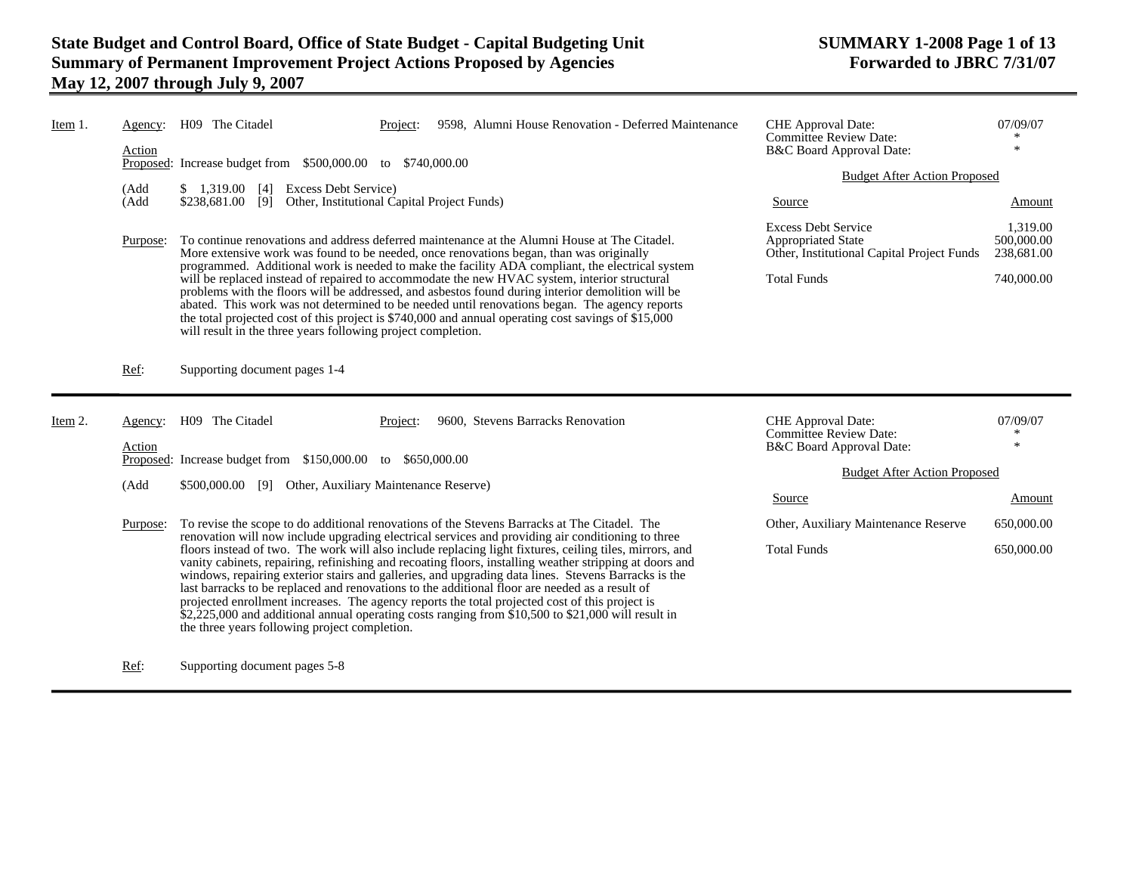| Item 1. | Agency:<br>Action | H09 The Citadel                                                                                                                                                                                                                                                                                                                                                                                                                                                                                                                                                                                                                                                                                                                                                                            | Project: |                                   | 9598, Alumni House Renovation - Deferred Maintenance | <b>CHE</b> Approval Date:<br><b>Committee Review Date:</b><br>B&C Board Approval Date:                                      | 07/09/07<br>$\ast$                                 |
|---------|-------------------|--------------------------------------------------------------------------------------------------------------------------------------------------------------------------------------------------------------------------------------------------------------------------------------------------------------------------------------------------------------------------------------------------------------------------------------------------------------------------------------------------------------------------------------------------------------------------------------------------------------------------------------------------------------------------------------------------------------------------------------------------------------------------------------------|----------|-----------------------------------|------------------------------------------------------|-----------------------------------------------------------------------------------------------------------------------------|----------------------------------------------------|
|         |                   | Proposed: Increase budget from \$500,000.00 to \$740,000.00                                                                                                                                                                                                                                                                                                                                                                                                                                                                                                                                                                                                                                                                                                                                |          |                                   |                                                      | <b>Budget After Action Proposed</b>                                                                                         |                                                    |
|         | (Add<br>(Add      | Excess Debt Service)<br>\$1,319.00<br>$\lceil 4 \rceil$<br>Other, Institutional Capital Project Funds)<br>\$238,681.00<br>[9]                                                                                                                                                                                                                                                                                                                                                                                                                                                                                                                                                                                                                                                              |          |                                   |                                                      | Source                                                                                                                      | Amount                                             |
|         | Purpose:          | To continue renovations and address deferred maintenance at the Alumni House at The Citadel.<br>More extensive work was found to be needed, once renovations began, than was originally<br>programmed. Additional work is needed to make the facility ADA compliant, the electrical system<br>will be replaced instead of repaired to accommodate the new HVAC system, interior structural<br>problems with the floors will be addressed, and asbestos found during interior demolition will be<br>abated. This work was not determined to be needed until renovations began. The agency reports<br>the total projected cost of this project is \$740,000 and annual operating cost savings of \$15,000<br>will result in the three years following project completion.                    |          |                                   |                                                      | <b>Excess Debt Service</b><br><b>Appropriated State</b><br>Other, Institutional Capital Project Funds<br><b>Total Funds</b> | 1,319.00<br>500,000.00<br>238,681.00<br>740,000.00 |
|         | Ref:              | Supporting document pages 1-4                                                                                                                                                                                                                                                                                                                                                                                                                                                                                                                                                                                                                                                                                                                                                              |          |                                   |                                                      |                                                                                                                             |                                                    |
| Item 2. | Agency:           | H09 The Citadel                                                                                                                                                                                                                                                                                                                                                                                                                                                                                                                                                                                                                                                                                                                                                                            | Project: | 9600, Stevens Barracks Renovation |                                                      | <b>CHE</b> Approval Date:<br><b>Committee Review Date:</b>                                                                  | 07/09/07<br>∗<br>米                                 |
|         | Action            | Proposed: Increase budget from \$150,000.00 to \$650,000.00                                                                                                                                                                                                                                                                                                                                                                                                                                                                                                                                                                                                                                                                                                                                |          |                                   |                                                      | B&C Board Approval Date:                                                                                                    |                                                    |
|         | (Add              | \$500,000.00 [9] Other, Auxiliary Maintenance Reserve)                                                                                                                                                                                                                                                                                                                                                                                                                                                                                                                                                                                                                                                                                                                                     |          |                                   |                                                      | <b>Budget After Action Proposed</b>                                                                                         |                                                    |
|         |                   |                                                                                                                                                                                                                                                                                                                                                                                                                                                                                                                                                                                                                                                                                                                                                                                            |          |                                   |                                                      | Source                                                                                                                      | Amount                                             |
|         | Purpose:          | To revise the scope to do additional renovations of the Stevens Barracks at The Citadel. The                                                                                                                                                                                                                                                                                                                                                                                                                                                                                                                                                                                                                                                                                               |          |                                   |                                                      | Other, Auxiliary Maintenance Reserve                                                                                        | 650,000.00                                         |
|         |                   | renovation will now include upgrading electrical services and providing air conditioning to three<br>floors instead of two. The work will also include replacing light fixtures, ceiling tiles, mirrors, and<br>vanity cabinets, repairing, refinishing and recoating floors, installing weather stripping at doors and<br>windows, repairing exterior stairs and galleries, and upgrading data lines. Stevens Barracks is the<br>last barracks to be replaced and renovations to the additional floor are needed as a result of<br>projected enrollment increases. The agency reports the total projected cost of this project is<br>$$2,225,000$ and additional annual operating costs ranging from \$10,500 to \$21,000 will result in<br>the three years following project completion. |          | <b>Total Funds</b>                | 650,000.00                                           |                                                                                                                             |                                                    |

Ref: Supporting document pages 5-8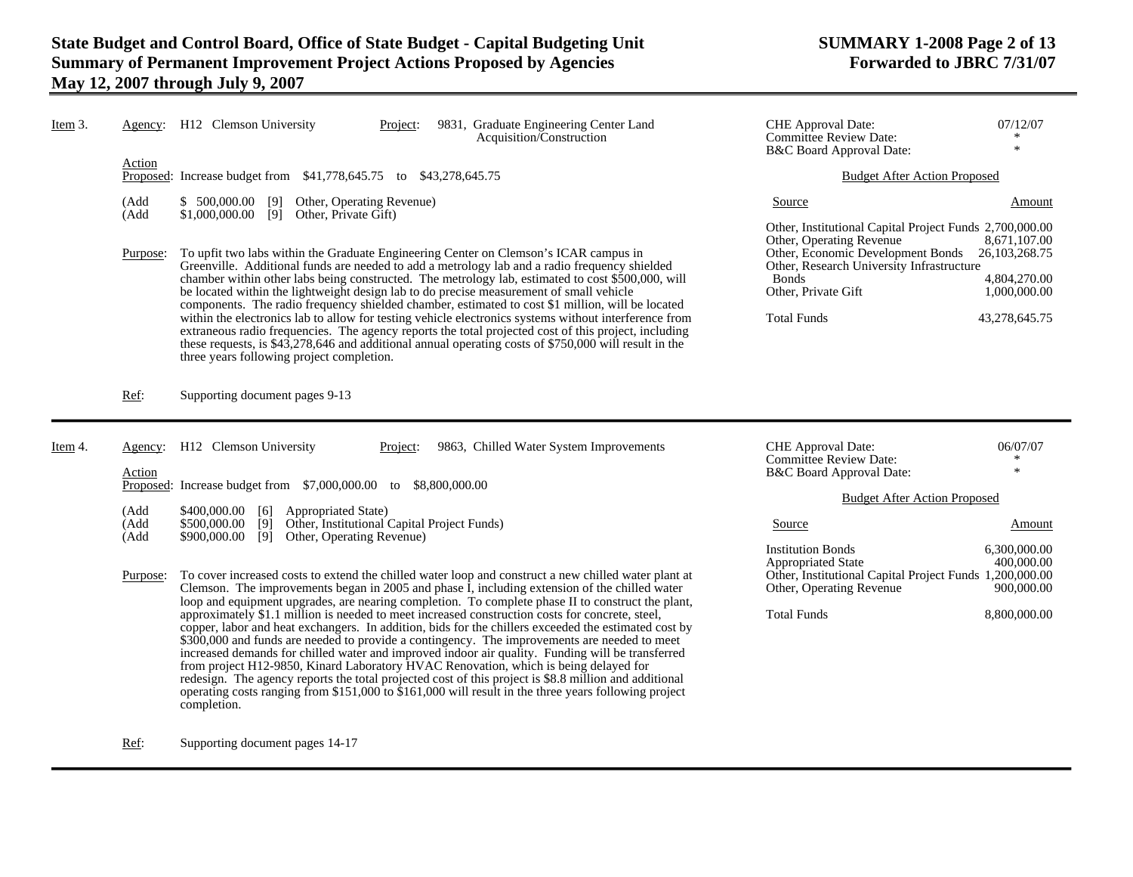| Item 3. |                          | Agency: H12 Clemson University<br>9831, Graduate Engineering Center Land<br>Project:<br>Acquisition/Construction                                                                                                                                                                                                                                                                                                                                                                                                                                                                                                                                                                                                                                                                                                                                                                                                                                            | <b>CHE</b> Approval Date:<br><b>Committee Review Date:</b><br>B&C Board Approval Date:                                                                                                                                                       | 07/12/07<br>$\ast$                                                                          |
|---------|--------------------------|-------------------------------------------------------------------------------------------------------------------------------------------------------------------------------------------------------------------------------------------------------------------------------------------------------------------------------------------------------------------------------------------------------------------------------------------------------------------------------------------------------------------------------------------------------------------------------------------------------------------------------------------------------------------------------------------------------------------------------------------------------------------------------------------------------------------------------------------------------------------------------------------------------------------------------------------------------------|----------------------------------------------------------------------------------------------------------------------------------------------------------------------------------------------------------------------------------------------|---------------------------------------------------------------------------------------------|
|         | Action                   | Proposed: Increase budget from \$41,778,645.75 to \$43,278,645.75                                                                                                                                                                                                                                                                                                                                                                                                                                                                                                                                                                                                                                                                                                                                                                                                                                                                                           | <b>Budget After Action Proposed</b>                                                                                                                                                                                                          |                                                                                             |
|         | (Add<br>(Add<br>Purpose: | $$500,000.00$ [9] Other, Operating Revenue)<br>$$1,000,000.00$ [9] Other, Private Gift)<br>To upfit two labs within the Graduate Engineering Center on Clemson's ICAR campus in<br>Greenville. Additional funds are needed to add a metrology lab and a radio frequency shielded<br>chamber within other labs being constructed. The metrology lab, estimated to cost \$500,000, will<br>be located within the lightweight design lab to do precise measurement of small vehicle<br>components. The radio frequency shielded chamber, estimated to cost \$1 million, will be located<br>within the electronics lab to allow for testing vehicle electronics systems without interference from<br>extraneous radio frequencies. The agency reports the total projected cost of this project, including<br>these requests, is \$43,278,646 and additional annual operating costs of \$750,000 will result in the<br>three years following project completion. | Source<br>Other, Institutional Capital Project Funds 2,700,000.00<br>Other, Operating Revenue<br>Other, Economic Development Bonds<br>Other, Research University Infrastructure<br><b>Bonds</b><br>Other, Private Gift<br><b>Total Funds</b> | Amount<br>8,671,107.00<br>26, 103, 268. 75<br>4,804,270.00<br>1,000,000.00<br>43,278,645.75 |
|         | Ref:                     | Supporting document pages 9-13                                                                                                                                                                                                                                                                                                                                                                                                                                                                                                                                                                                                                                                                                                                                                                                                                                                                                                                              |                                                                                                                                                                                                                                              |                                                                                             |
| Item 4. | Agency:<br>Action        | H12 Clemson University<br>9863, Chilled Water System Improvements<br>Project:<br>Proposed: Increase budget from \$7,000,000.00 to \$8,800,000.00                                                                                                                                                                                                                                                                                                                                                                                                                                                                                                                                                                                                                                                                                                                                                                                                            | <b>CHE</b> Approval Date:<br><b>Committee Review Date:</b><br>B&C Board Approval Date:                                                                                                                                                       | 06/07/07<br>∗<br>$\ast$                                                                     |
|         | (Add                     | \$400,000.00 [6]<br><b>Appropriated State</b> )                                                                                                                                                                                                                                                                                                                                                                                                                                                                                                                                                                                                                                                                                                                                                                                                                                                                                                             | <b>Budget After Action Proposed</b>                                                                                                                                                                                                          |                                                                                             |
|         | (Add<br>(Add             | Other, Institutional Capital Project Funds)<br>\$500,000.00<br>[9]<br>\$900,000.00                                                                                                                                                                                                                                                                                                                                                                                                                                                                                                                                                                                                                                                                                                                                                                                                                                                                          | Source                                                                                                                                                                                                                                       | Amount                                                                                      |
|         | Purpose:                 | [9]<br>Other, Operating Revenue)<br>To cover increased costs to extend the chilled water loop and construct a new chilled water plant at<br>Clemson. The improvements began in 2005 and phase $\tilde{I}$ , including extension of the chilled water<br>loop and equipment upgrades, are nearing completion. To complete phase II to construct the plant,<br>approximately \$1.1 million is needed to meet increased construction costs for concrete, steel,<br>copper, labor and heat exchangers. In addition, bids for the chillers exceeded the estimated cost by<br>\$300,000 and funds are needed to provide a contingency. The improvements are needed to meet<br>increased demands for chilled water and improved indoor air quality. Funding will be transferred<br>from project H12-9850, Kinard Laboratory HVAC Renovation, which is being delayed for                                                                                            | <b>Institution Bonds</b><br><b>Appropriated State</b><br>Other, Institutional Capital Project Funds 1,200,000.00<br>Other, Operating Revenue<br><b>Total Funds</b>                                                                           | 6,300,000.00<br>400,000.00<br>900,000.00<br>8,800,000.00                                    |

Ref: Supporting document pages 14-17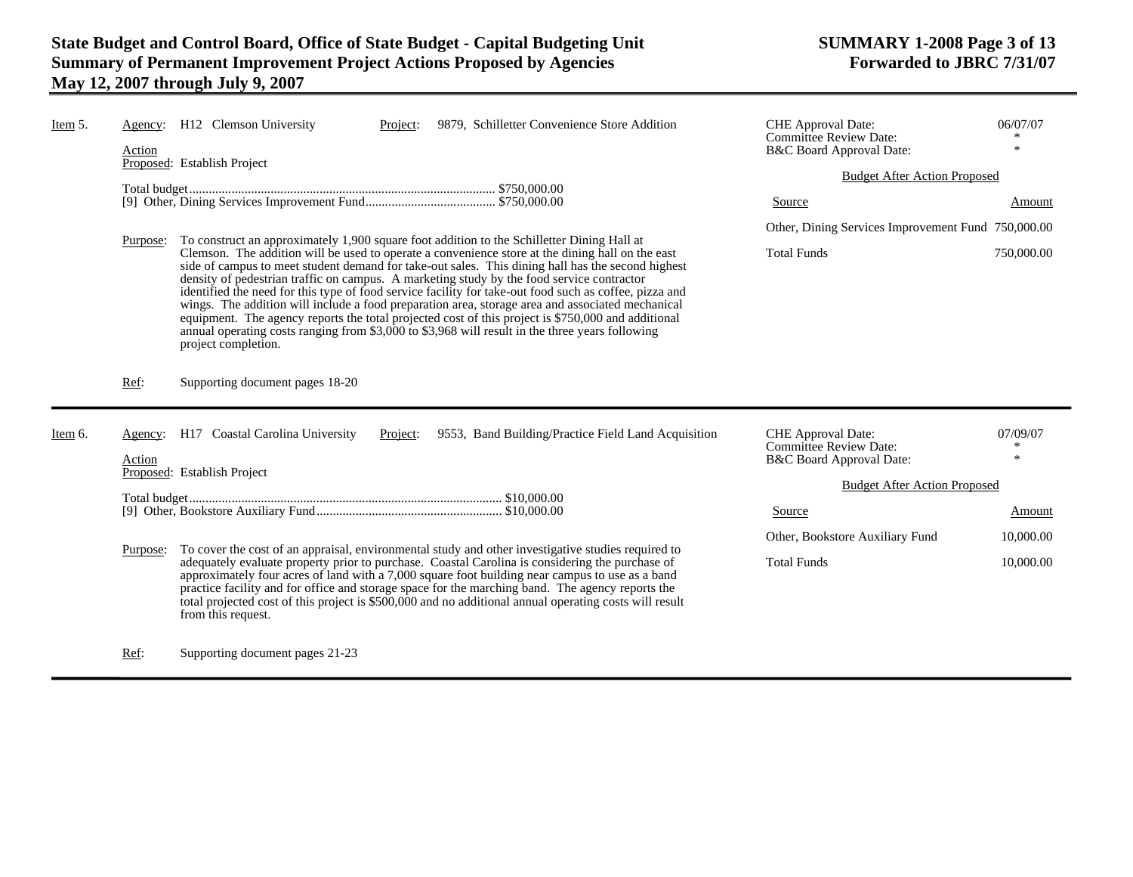| Item 5. | Agency:<br>Action | 9879, Schilletter Convenience Store Addition<br>H <sub>12</sub> Clemson University<br>Project:<br>Proposed: Establish Project                                                                                                                                                                                                                                                                                                                                                                                                                                                                                                                                                                                                                                                                                                                  | CHE Approval Date:<br><b>Committee Review Date:</b><br>B&C Board Approval Date: | 06/07/07<br>大           |
|---------|-------------------|------------------------------------------------------------------------------------------------------------------------------------------------------------------------------------------------------------------------------------------------------------------------------------------------------------------------------------------------------------------------------------------------------------------------------------------------------------------------------------------------------------------------------------------------------------------------------------------------------------------------------------------------------------------------------------------------------------------------------------------------------------------------------------------------------------------------------------------------|---------------------------------------------------------------------------------|-------------------------|
|         |                   |                                                                                                                                                                                                                                                                                                                                                                                                                                                                                                                                                                                                                                                                                                                                                                                                                                                | <b>Budget After Action Proposed</b>                                             |                         |
|         |                   |                                                                                                                                                                                                                                                                                                                                                                                                                                                                                                                                                                                                                                                                                                                                                                                                                                                | Source                                                                          | Amount                  |
|         |                   |                                                                                                                                                                                                                                                                                                                                                                                                                                                                                                                                                                                                                                                                                                                                                                                                                                                | Other, Dining Services Improvement Fund 750,000.00                              |                         |
|         | Purpose:          | To construct an approximately 1,900 square foot addition to the Schilletter Dining Hall at<br>Clemson. The addition will be used to operate a convenience store at the dining hall on the east<br>side of campus to meet student demand for take-out sales. This dining hall has the second highest<br>density of pedestrian traffic on campus. A marketing study by the food service contractor<br>identified the need for this type of food service facility for take-out food such as coffee, pizza and<br>wings. The addition will include a food preparation area, storage area and associated mechanical<br>equipment. The agency reports the total projected cost of this project is \$750,000 and additional<br>annual operating costs ranging from \$3,000 to \$3,968 will result in the three years following<br>project completion. | <b>Total Funds</b>                                                              | 750,000.00              |
|         | Ref:              | Supporting document pages 18-20                                                                                                                                                                                                                                                                                                                                                                                                                                                                                                                                                                                                                                                                                                                                                                                                                |                                                                                 |                         |
| Item 6. | Agency:<br>Action | H17 Coastal Carolina University<br>9553, Band Building/Practice Field Land Acquisition<br>Project:                                                                                                                                                                                                                                                                                                                                                                                                                                                                                                                                                                                                                                                                                                                                             | CHE Approval Date:<br><b>Committee Review Date:</b><br>B&C Board Approval Date: | 07/09/07<br>∗<br>$\ast$ |
|         |                   | Proposed: Establish Project                                                                                                                                                                                                                                                                                                                                                                                                                                                                                                                                                                                                                                                                                                                                                                                                                    |                                                                                 |                         |
|         |                   |                                                                                                                                                                                                                                                                                                                                                                                                                                                                                                                                                                                                                                                                                                                                                                                                                                                | <b>Budget After Action Proposed</b>                                             |                         |
|         |                   |                                                                                                                                                                                                                                                                                                                                                                                                                                                                                                                                                                                                                                                                                                                                                                                                                                                | Source                                                                          | Amount                  |
|         | Purpose:          | To cover the cost of an appraisal, environmental study and other investigative studies required to                                                                                                                                                                                                                                                                                                                                                                                                                                                                                                                                                                                                                                                                                                                                             | Other, Bookstore Auxiliary Fund                                                 | 10,000.00               |
|         |                   | adequately evaluate property prior to purchase. Coastal Carolina is considering the purchase of<br>approximately four acres of land with a 7,000 square foot building near campus to use as a band<br>practice facility and for office and storage space for the marching band. The agency reports the                                                                                                                                                                                                                                                                                                                                                                                                                                                                                                                                         | <b>Total Funds</b>                                                              | 10,000.00               |

total projected cost of this project is \$500,000 and no additional annual operating costs will result

Ref: Supporting document pages 21-23

from this request.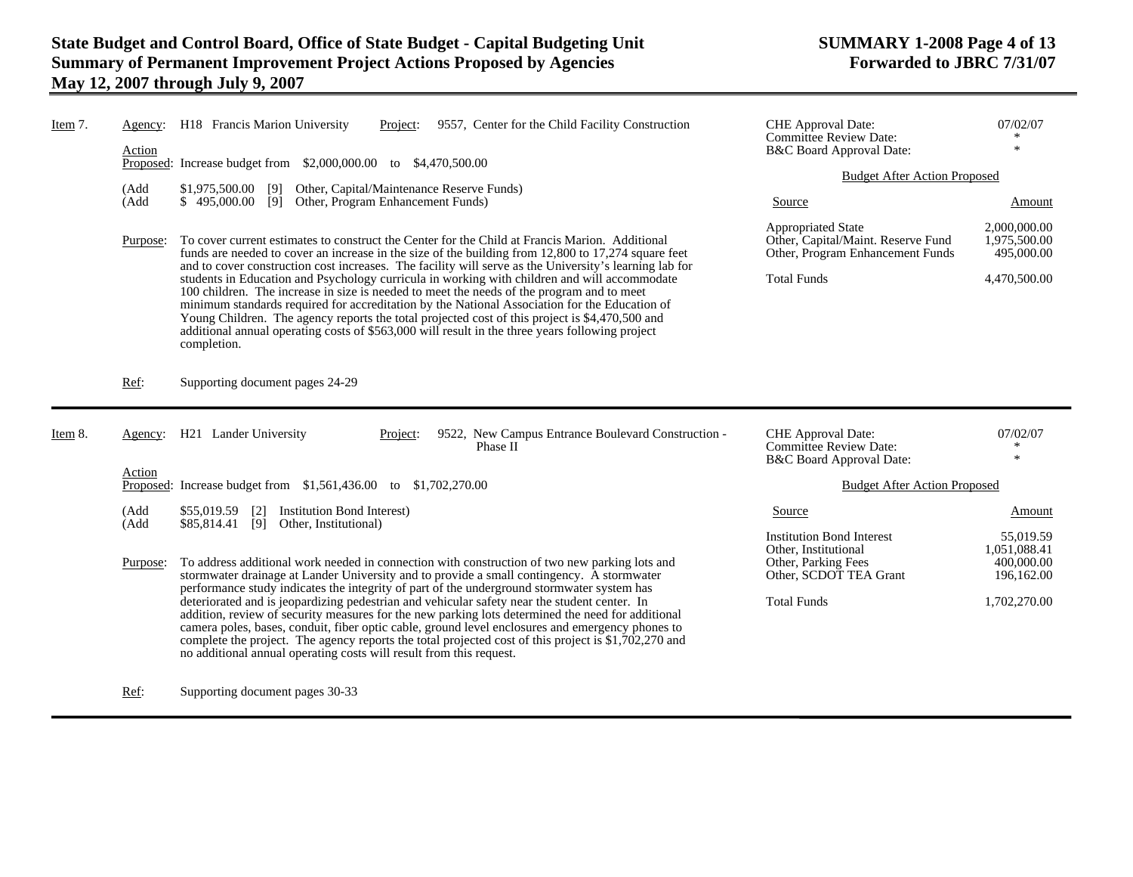| Item $7$ . | Agency:<br>Action | H18 Francis Marion University<br>9557, Center for the Child Facility Construction<br>Project:<br>Proposed: Increase budget from \$2,000,000.00 to \$4,470,500.00                                                                                                                                                                                                                                                                                                                                                                                                                                                                                                                                                                                                                                                              | CHE Approval Date:<br>Committee Review Date:<br>B&C Board Approval Date:<br><b>Budget After Action Proposed</b>                 | 07/02/07<br>$\ast$                                                    |
|------------|-------------------|-------------------------------------------------------------------------------------------------------------------------------------------------------------------------------------------------------------------------------------------------------------------------------------------------------------------------------------------------------------------------------------------------------------------------------------------------------------------------------------------------------------------------------------------------------------------------------------------------------------------------------------------------------------------------------------------------------------------------------------------------------------------------------------------------------------------------------|---------------------------------------------------------------------------------------------------------------------------------|-----------------------------------------------------------------------|
|            | (Add<br>(Add      | \$1,975,500.00 [9] Other, Capital/Maintenance Reserve Funds)<br>\$495,000.00 [9] Other, Program Enhancement Funds)                                                                                                                                                                                                                                                                                                                                                                                                                                                                                                                                                                                                                                                                                                            | Source                                                                                                                          | Amount                                                                |
|            | Purpose:          | To cover current estimates to construct the Center for the Child at Francis Marion. Additional<br>funds are needed to cover an increase in the size of the building from 12,800 to 17,274 square feet                                                                                                                                                                                                                                                                                                                                                                                                                                                                                                                                                                                                                         | <b>Appropriated State</b><br>Other, Capital/Maint. Reserve Fund<br>Other, Program Enhancement Funds                             | 2,000,000.00<br>1.975.500.00<br>495,000.00                            |
|            |                   | and to cover construction cost increases. The facility will serve as the University's learning lab for<br>students in Education and Psychology curricula in working with children and will accommodate<br>100 children. The increase in size is needed to meet the needs of the program and to meet<br>minimum standards required for accreditation by the National Association for the Education of<br>Young Children. The agency reports the total projected cost of this project is \$4,470,500 and<br>additional annual operating costs of \$563,000 will result in the three years following project<br>completion.                                                                                                                                                                                                      | <b>Total Funds</b>                                                                                                              | 4,470,500.00                                                          |
|            | Ref:              | Supporting document pages 24-29                                                                                                                                                                                                                                                                                                                                                                                                                                                                                                                                                                                                                                                                                                                                                                                               |                                                                                                                                 |                                                                       |
|            |                   |                                                                                                                                                                                                                                                                                                                                                                                                                                                                                                                                                                                                                                                                                                                                                                                                                               |                                                                                                                                 |                                                                       |
| Item $8$ . | Agency:           | H <sub>21</sub> Lander University<br>9522, New Campus Entrance Boulevard Construction -<br>Project:<br>Phase II                                                                                                                                                                                                                                                                                                                                                                                                                                                                                                                                                                                                                                                                                                               | CHE Approval Date:<br><b>Committee Review Date:</b><br>B&C Board Approval Date:                                                 | 07/02/07<br>$\ast$<br>$\ast$                                          |
|            | Action            | Proposed: Increase budget from \$1,561,436.00 to \$1,702,270.00                                                                                                                                                                                                                                                                                                                                                                                                                                                                                                                                                                                                                                                                                                                                                               | <b>Budget After Action Proposed</b>                                                                                             |                                                                       |
|            | (Add              | \$55,019.59<br>Institution Bond Interest)<br>$\lceil 2 \rceil$                                                                                                                                                                                                                                                                                                                                                                                                                                                                                                                                                                                                                                                                                                                                                                | Source                                                                                                                          | Amount                                                                |
|            | (Add<br>Purpose:  | \$85,814.41<br>[9] Other, Institutional)<br>To address additional work needed in connection with construction of two new parking lots and<br>stormwater drainage at Lander University and to provide a small contingency. A stormwater<br>performance study indicates the integrity of part of the underground stormwater system has<br>deteriorated and is jeopardizing pedestrian and vehicular safety near the student center. In<br>addition, review of security measures for the new parking lots determined the need for additional<br>camera poles, bases, conduit, fiber optic cable, ground level enclosures and emergency phones to<br>complete the project. The agency reports the total projected cost of this project is $$1,702,270$ and<br>no additional annual operating costs will result from this request. | <b>Institution Bond Interest</b><br>Other, Institutional<br>Other, Parking Fees<br>Other, SCDOT TEA Grant<br><b>Total Funds</b> | 55,019.59<br>1,051,088.41<br>400,000.00<br>196,162.00<br>1,702,270.00 |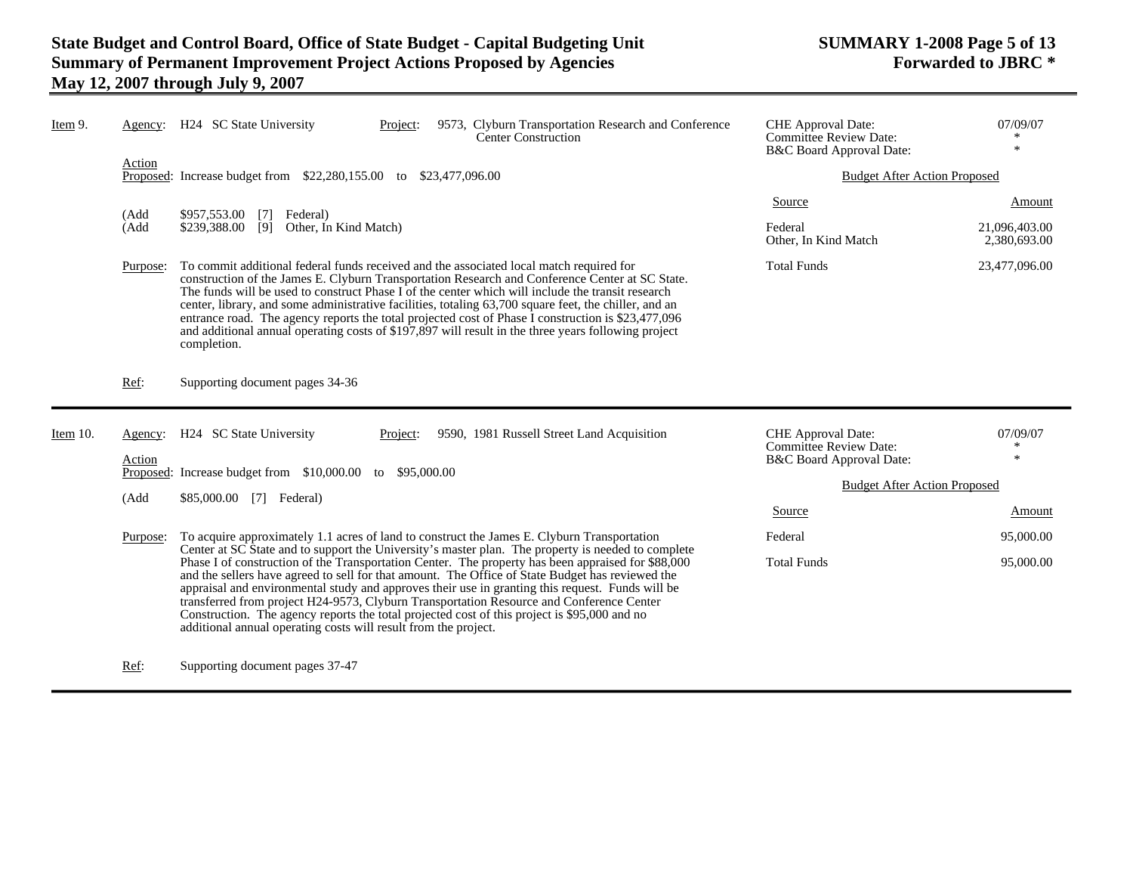-

| Item 9.  | Agency:           | H <sub>24</sub> SC State University<br>9573, Clyburn Transportation Research and Conference<br>Project:<br>Center Construction                                                                                                                                                                                                                                                                                                                                                                                                                                                                                                       | CHE Approval Date:<br>Committee Review Date:<br>B&C Board Approval Date:               | 07/09/07<br>$\ast$            |
|----------|-------------------|--------------------------------------------------------------------------------------------------------------------------------------------------------------------------------------------------------------------------------------------------------------------------------------------------------------------------------------------------------------------------------------------------------------------------------------------------------------------------------------------------------------------------------------------------------------------------------------------------------------------------------------|----------------------------------------------------------------------------------------|-------------------------------|
|          | Action            | Proposed: Increase budget from \$22,280,155.00 to \$23,477,096.00                                                                                                                                                                                                                                                                                                                                                                                                                                                                                                                                                                    | <b>Budget After Action Proposed</b>                                                    |                               |
|          | (Add              | \$957,553.00<br>Federal)<br>$\lceil 7 \rceil$                                                                                                                                                                                                                                                                                                                                                                                                                                                                                                                                                                                        | Source                                                                                 | Amount                        |
|          | (Add              | [9]<br>Other, In Kind Match)<br>\$239,388.00                                                                                                                                                                                                                                                                                                                                                                                                                                                                                                                                                                                         | Federal<br>Other, In Kind Match                                                        | 21,096,403.00<br>2,380,693.00 |
|          | Purpose:          | To commit additional federal funds received and the associated local match required for<br>construction of the James E. Clyburn Transportation Research and Conference Center at SC State.<br>The funds will be used to construct Phase I of the center which will include the transit research<br>center, library, and some administrative facilities, totaling 63,700 square feet, the chiller, and an<br>entrance road. The agency reports the total projected cost of Phase I construction is \$23,477,096<br>and additional annual operating costs of \$197,897 will result in the three years following project<br>completion. | <b>Total Funds</b>                                                                     | 23,477,096.00                 |
|          | Ref:              | Supporting document pages 34-36                                                                                                                                                                                                                                                                                                                                                                                                                                                                                                                                                                                                      |                                                                                        |                               |
| Item 10. | Agency:<br>Action | H24 SC State University<br>9590, 1981 Russell Street Land Acquisition<br>Project:                                                                                                                                                                                                                                                                                                                                                                                                                                                                                                                                                    | <b>CHE</b> Approval Date:<br><b>Committee Review Date:</b><br>B&C Board Approval Date: | 07/09/07<br>$\ast$<br>$\ast$  |
|          |                   | Proposed: Increase budget from \$10,000.00 to \$95,000.00                                                                                                                                                                                                                                                                                                                                                                                                                                                                                                                                                                            | <b>Budget After Action Proposed</b>                                                    |                               |
|          | (Add              | \$85,000.00 [7] Federal)                                                                                                                                                                                                                                                                                                                                                                                                                                                                                                                                                                                                             | Source                                                                                 | Amount                        |
|          |                   |                                                                                                                                                                                                                                                                                                                                                                                                                                                                                                                                                                                                                                      | Federal                                                                                |                               |
|          | Purpose:          | To acquire approximately 1.1 acres of land to construct the James E. Clyburn Transportation<br>Center at SC State and to support the University's master plan. The property is needed to complete                                                                                                                                                                                                                                                                                                                                                                                                                                    |                                                                                        | 95,000.00                     |
|          |                   | Phase I of construction of the Transportation Center. The property has been appraised for \$88,000<br>and the sellers have agreed to sell for that amount. The Office of State Budget has reviewed the<br>appraisal and environmental study and approves their use in granting this request. Funds will be<br>transferred from project H24-9573, Clyburn Transportation Resource and Conference Center<br>Construction. The agency reports the total projected cost of this project is \$95,000 and no<br>additional annual operating costs will result from the project.                                                            | <b>Total Funds</b>                                                                     | 95,000.00                     |

Ref: Supporting document pages 37-47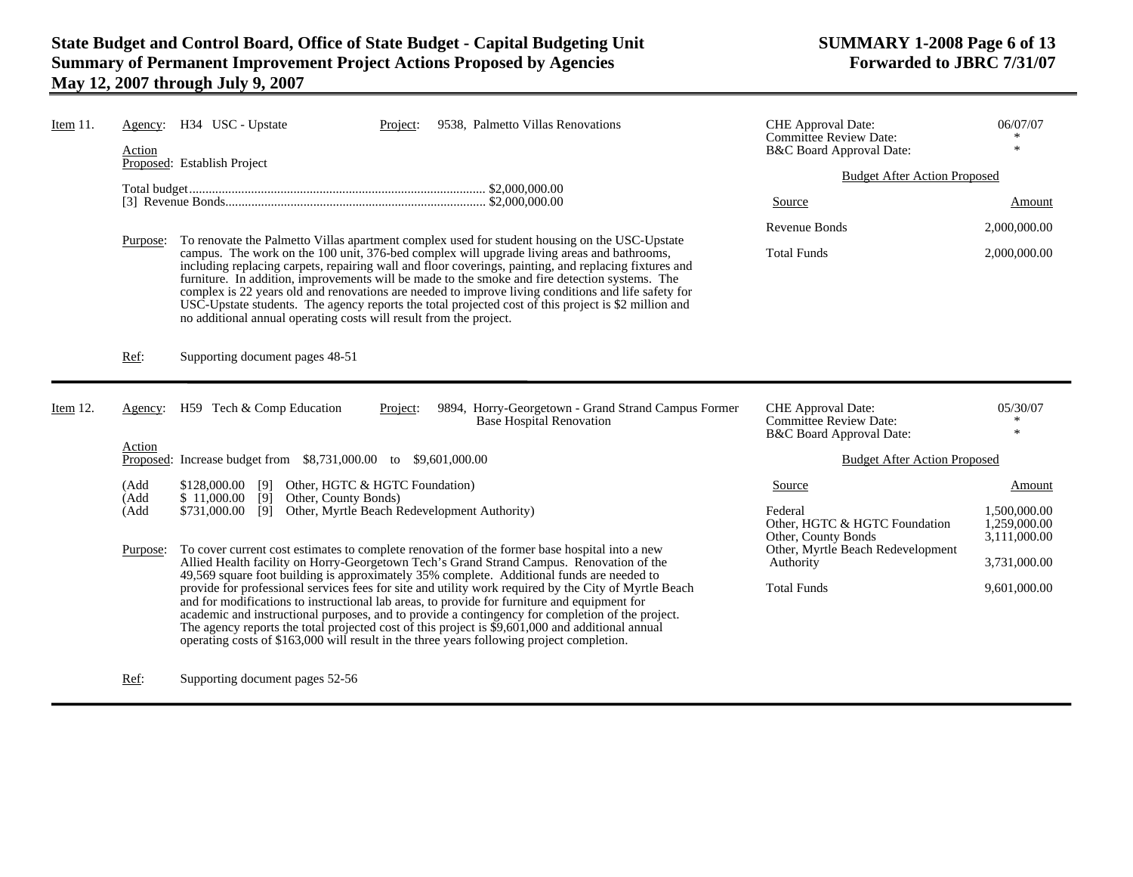| Item $11$ . | Agency:<br>Action | H34 USC - Upstate<br>9538, Palmetto Villas Renovations<br>Project:<br>Proposed: Establish Project                                                                                                                                                                                                                                                                                                                                                                                                                                                                                                                                                                                           | CHE Approval Date:<br><b>Committee Review Date:</b><br>B&C Board Approval Date: | 06/07/07<br>$\ast$           |
|-------------|-------------------|---------------------------------------------------------------------------------------------------------------------------------------------------------------------------------------------------------------------------------------------------------------------------------------------------------------------------------------------------------------------------------------------------------------------------------------------------------------------------------------------------------------------------------------------------------------------------------------------------------------------------------------------------------------------------------------------|---------------------------------------------------------------------------------|------------------------------|
|             |                   |                                                                                                                                                                                                                                                                                                                                                                                                                                                                                                                                                                                                                                                                                             | <b>Budget After Action Proposed</b>                                             |                              |
|             |                   |                                                                                                                                                                                                                                                                                                                                                                                                                                                                                                                                                                                                                                                                                             | Source                                                                          | Amount                       |
|             |                   |                                                                                                                                                                                                                                                                                                                                                                                                                                                                                                                                                                                                                                                                                             | Revenue Bonds                                                                   | 2,000,000.00                 |
|             | Purpose:          | To renovate the Palmetto Villas apartment complex used for student housing on the USC-Upstate<br>campus. The work on the 100 unit, 376-bed complex will upgrade living areas and bathrooms,<br>including replacing carpets, repairing wall and floor coverings, painting, and replacing fixtures and<br>furniture. In addition, improvements will be made to the smoke and fire detection systems. The<br>complex is 22 years old and renovations are needed to improve living conditions and life safety for<br>USC-Upstate students. The agency reports the total projected cost of this project is \$2 million and<br>no additional annual operating costs will result from the project. | <b>Total Funds</b>                                                              | 2,000,000.00                 |
|             | Ref:              | Supporting document pages 48-51                                                                                                                                                                                                                                                                                                                                                                                                                                                                                                                                                                                                                                                             |                                                                                 |                              |
| Item 12.    | Agency:           | H59 Tech & Comp Education<br>9894, Horry-Georgetown - Grand Strand Campus Former                                                                                                                                                                                                                                                                                                                                                                                                                                                                                                                                                                                                            |                                                                                 |                              |
|             |                   | Project:<br><b>Base Hospital Renovation</b>                                                                                                                                                                                                                                                                                                                                                                                                                                                                                                                                                                                                                                                 | CHE Approval Date:<br>Committee Review Date:<br>B&C Board Approval Date:        | 05/30/07<br>∗<br>$\ast$      |
|             | Action            | Proposed: Increase budget from \$8,731,000.00 to \$9,601,000.00                                                                                                                                                                                                                                                                                                                                                                                                                                                                                                                                                                                                                             | <b>Budget After Action Proposed</b>                                             |                              |
|             | (Add              | \$128,000.00 [9]<br>Other, HGTC & HGTC Foundation)                                                                                                                                                                                                                                                                                                                                                                                                                                                                                                                                                                                                                                          | Source                                                                          | <b>Amount</b>                |
|             | (Add<br>(Add      | \$11,000.00<br>$\overline{[9]}$<br>Other, County Bonds)<br>\$731,000.00<br>[9]<br>Other, Myrtle Beach Redevelopment Authority)                                                                                                                                                                                                                                                                                                                                                                                                                                                                                                                                                              | Federal<br>Other, HGTC & HGTC Foundation                                        | 1.500.000.00<br>1,259,000.00 |
|             | Purpose:          | To cover current cost estimates to complete renovation of the former base hospital into a new<br>Allied Health facility on Horry-Georgetown Tech's Grand Strand Campus. Renovation of the<br>49,569 square foot building is approximately 35% complete. Additional funds are needed to                                                                                                                                                                                                                                                                                                                                                                                                      | Other, County Bonds<br>Other, Myrtle Beach Redevelopment<br>Authority           | 3,111,000.00<br>3,731,000.00 |

Ref: Supporting document pages 52-56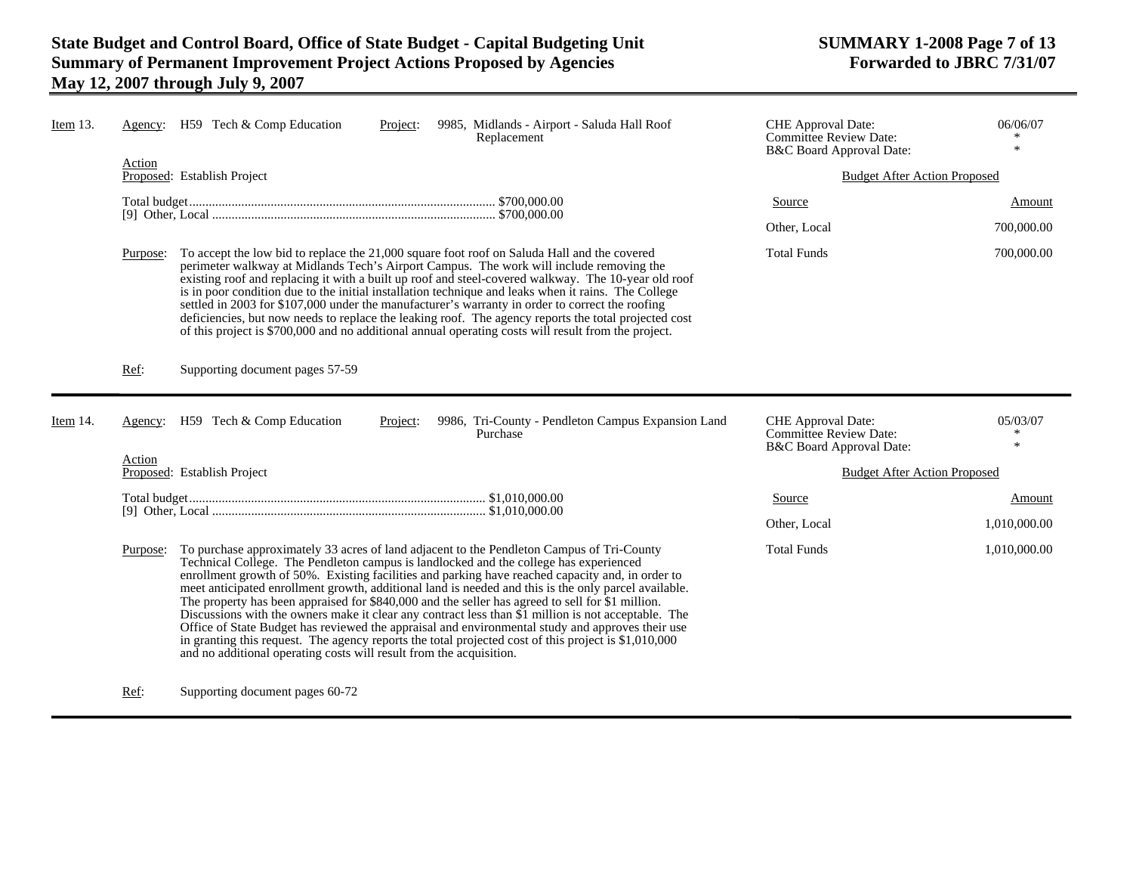| Item 13. | Agency:  | H59 Tech & Comp Education<br>9985, Midlands - Airport - Saluda Hall Roof<br>Project:<br>Replacement                                                                                                                                                                                                                                                                                                                                                                                                                                                                                                                                                                                                                    | <b>CHE</b> Approval Date:<br><b>Committee Review Date:</b><br>B&C Board Approval Date: | 06/06/07<br>$\ast$ |
|----------|----------|------------------------------------------------------------------------------------------------------------------------------------------------------------------------------------------------------------------------------------------------------------------------------------------------------------------------------------------------------------------------------------------------------------------------------------------------------------------------------------------------------------------------------------------------------------------------------------------------------------------------------------------------------------------------------------------------------------------------|----------------------------------------------------------------------------------------|--------------------|
|          | Action   | Proposed: Establish Project                                                                                                                                                                                                                                                                                                                                                                                                                                                                                                                                                                                                                                                                                            | <b>Budget After Action Proposed</b>                                                    |                    |
|          |          |                                                                                                                                                                                                                                                                                                                                                                                                                                                                                                                                                                                                                                                                                                                        | <b>Source</b>                                                                          | Amount             |
|          |          |                                                                                                                                                                                                                                                                                                                                                                                                                                                                                                                                                                                                                                                                                                                        | Other, Local                                                                           | 700,000.00         |
|          | Purpose: | To accept the low bid to replace the 21,000 square foot roof on Saluda Hall and the covered<br>perimeter walkway at Midlands Tech's Airport Campus. The work will include removing the<br>existing roof and replacing it with a built up roof and steel-covered walkway. The 10-year old roof<br>is in poor condition due to the initial installation technique and leaks when it rains. The College<br>settled in 2003 for \$107,000 under the manufacturer's warranty in order to correct the roofing<br>deficiencies, but now needs to replace the leaking roof. The agency reports the total projected cost<br>of this project is \$700,000 and no additional annual operating costs will result from the project. | <b>Total Funds</b>                                                                     | 700,000.00         |
|          | Ref:     | Supporting document pages 57-59                                                                                                                                                                                                                                                                                                                                                                                                                                                                                                                                                                                                                                                                                        |                                                                                        |                    |
|          |          |                                                                                                                                                                                                                                                                                                                                                                                                                                                                                                                                                                                                                                                                                                                        |                                                                                        |                    |
| Item 14. | Agency:  | H59 Tech & Comp Education<br>9986, Tri-County - Pendleton Campus Expansion Land<br>Project:<br>Purchase                                                                                                                                                                                                                                                                                                                                                                                                                                                                                                                                                                                                                | <b>CHE</b> Approval Date:<br><b>Committee Review Date:</b>                             | 05/03/07<br>*<br>米 |
|          | Action   | Proposed: Establish Project                                                                                                                                                                                                                                                                                                                                                                                                                                                                                                                                                                                                                                                                                            | B&C Board Approval Date:<br><b>Budget After Action Proposed</b>                        |                    |
|          |          |                                                                                                                                                                                                                                                                                                                                                                                                                                                                                                                                                                                                                                                                                                                        | Source                                                                                 | Amount             |
|          |          |                                                                                                                                                                                                                                                                                                                                                                                                                                                                                                                                                                                                                                                                                                                        | Other, Local                                                                           | 1,010,000.00       |

Ref: Supporting document pages 60-72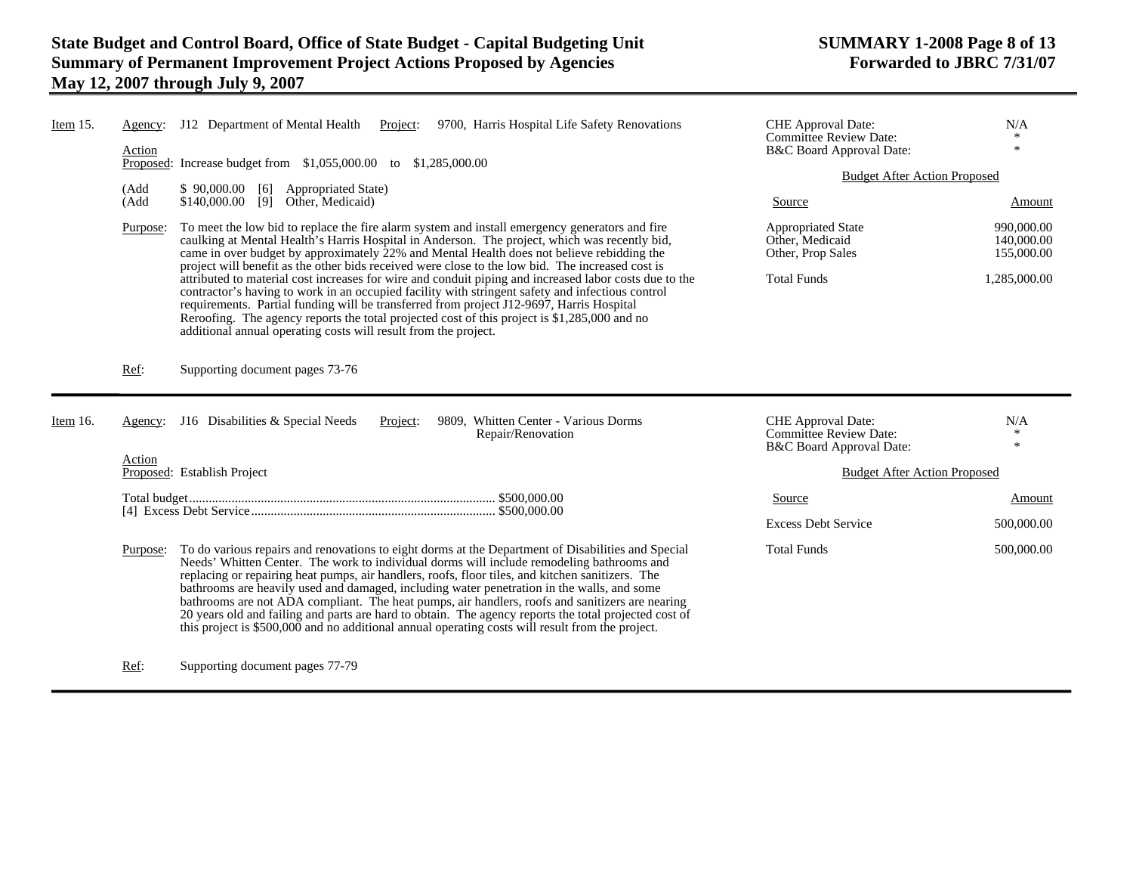| Item 15.    | Agency:<br>Action | J12 Department of Mental Health<br>9700, Harris Hospital Life Safety Renovations<br>Project:<br>Proposed: Increase budget from $$1,055,000.00$ to $$1,285,000.00$                                                                                                                                                                                                                                                                                                         | CHE Approval Date:<br><b>Committee Review Date:</b><br>B&C Board Approval Date: | N/A<br>$\ast$                          |  |
|-------------|-------------------|---------------------------------------------------------------------------------------------------------------------------------------------------------------------------------------------------------------------------------------------------------------------------------------------------------------------------------------------------------------------------------------------------------------------------------------------------------------------------|---------------------------------------------------------------------------------|----------------------------------------|--|
|             |                   |                                                                                                                                                                                                                                                                                                                                                                                                                                                                           |                                                                                 | <b>Budget After Action Proposed</b>    |  |
|             | (Add<br>(Add      | \$90,000.00<br><b>Appropriated State</b> )<br>[6]<br>\$140,000.00<br>[9]<br>Other, Medicaid)                                                                                                                                                                                                                                                                                                                                                                              | Source                                                                          | Amount                                 |  |
|             | Purpose:          | To meet the low bid to replace the fire alarm system and install emergency generators and fire<br>caulking at Mental Health's Harris Hospital in Anderson. The project, which was recently bid,<br>came in over budget by approximately 22% and Mental Health does not believe rebidding the<br>project will benefit as the other bids received were close to the low bid. The increased cost is                                                                          | <b>Appropriated State</b><br>Other, Medicaid<br>Other, Prop Sales               | 990,000.00<br>140,000.00<br>155,000.00 |  |
|             |                   | attributed to material cost increases for wire and conduit piping and increased labor costs due to the<br>contractor's having to work in an occupied facility with stringent safety and infectious control<br>requirements. Partial funding will be transferred from project J12-9697, Harris Hospital<br>Reroofing. The agency reports the total projected cost of this project is \$1,285,000 and no<br>additional annual operating costs will result from the project. | <b>Total Funds</b>                                                              | 1,285,000.00                           |  |
|             | Ref:              | Supporting document pages 73-76                                                                                                                                                                                                                                                                                                                                                                                                                                           |                                                                                 |                                        |  |
|             |                   |                                                                                                                                                                                                                                                                                                                                                                                                                                                                           |                                                                                 |                                        |  |
| Item $16$ . | Agency:           | J16 Disabilities & Special Needs<br>9809. Whitten Center - Various Dorms<br>Project:<br>Repair/Renovation                                                                                                                                                                                                                                                                                                                                                                 | CHE Approval Date:<br>Committee Review Date:<br>B&C Board Approval Date:        | N/A<br>$\ast$                          |  |
|             | Action            | Proposed: Establish Project                                                                                                                                                                                                                                                                                                                                                                                                                                               | <b>Budget After Action Proposed</b>                                             |                                        |  |
|             |                   |                                                                                                                                                                                                                                                                                                                                                                                                                                                                           | Source                                                                          | Amount                                 |  |
|             |                   |                                                                                                                                                                                                                                                                                                                                                                                                                                                                           | <b>Excess Debt Service</b>                                                      | 500,000.00                             |  |

Ref: Supporting document pages 77-79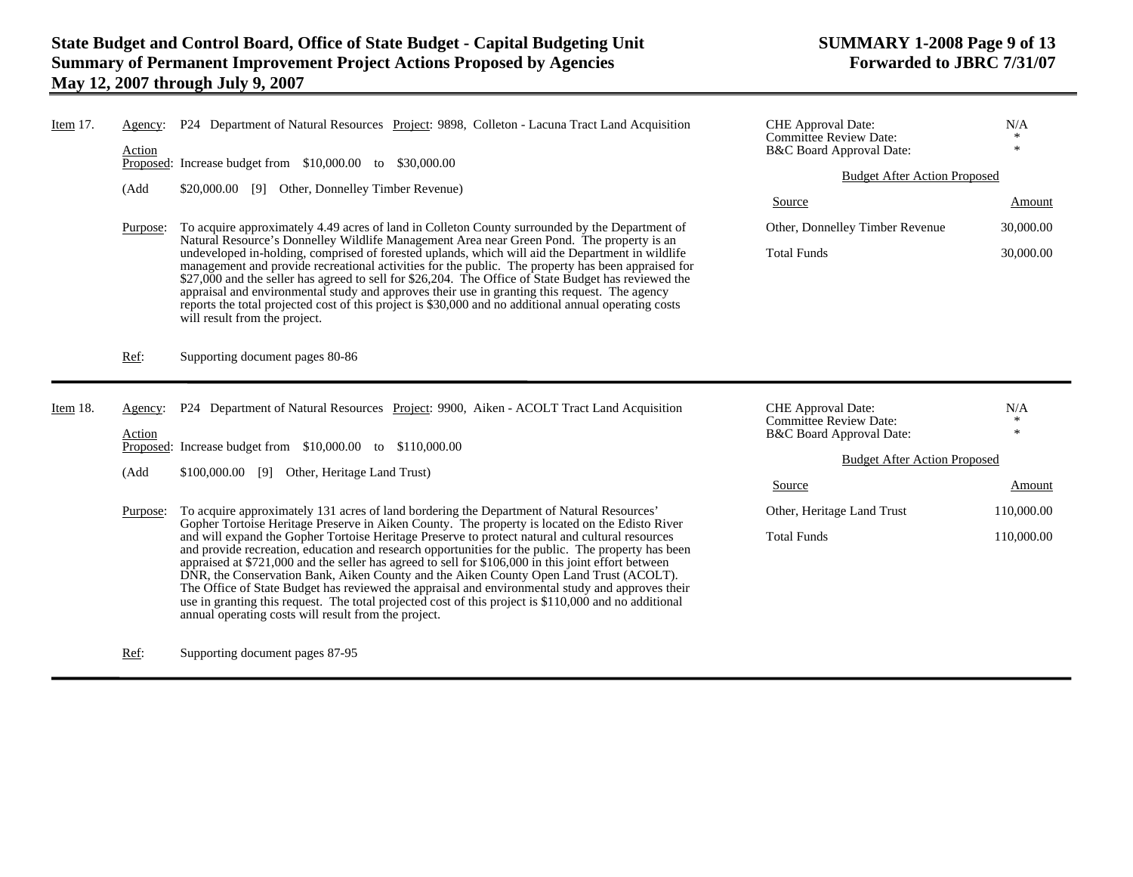appraisal and environmental study and approves their use in granting this request. The agency reports the total projected cost of this project is \$30,000 and no additional annual operating costs

DNR, the Conservation Bank, Aiken County and the Aiken County Open Land Trust (ACOLT). The Office of State Budget has reviewed the appraisal and environmental study and approves their use in granting this request. The total projected cost of this project is \$110,000 and no additional

 $\ast$ 

Amount

| Item $17.$ | Agency:<br>Action | P24 Department of Natural Resources Project: 9898, Colleton - Lacuna Tract Land Acquisition<br>Proposed: Increase budget from \$10,000.00<br>\$30,000.00<br>to                                                                                                                                                 | <b>CHE</b> Approval Date:<br><b>Committee Review Date:</b><br>B&C Board Approval Date:<br><b>Budget After Action Proposed</b> | N/A<br>米  |
|------------|-------------------|----------------------------------------------------------------------------------------------------------------------------------------------------------------------------------------------------------------------------------------------------------------------------------------------------------------|-------------------------------------------------------------------------------------------------------------------------------|-----------|
|            | (Add              | Other, Donnelley Timber Revenue)<br>\$20,000.00<br>[9]                                                                                                                                                                                                                                                         | Source                                                                                                                        | Amount    |
|            | Purpose:          | To acquire approximately 4.49 acres of land in Colleton County surrounded by the Department of<br>Natural Resource's Donnelley Wildlife Management Area near Green Pond. The property is an                                                                                                                    | Other, Donnelley Timber Revenue                                                                                               | 30,000.00 |
|            |                   | undeveloped in-holding, comprised of forested uplands, which will aid the Department in wildlife<br>management and provide recreational activities for the public. The property has been appraised for<br>\$27,000 and the seller has agreed to sell for \$26,204. The Office of State Budget has reviewed the | <b>Total Funds</b>                                                                                                            | 30,000.00 |

Item 18. Agency: P24 Department of Natural Resources Project: 9900, Aiken - ACOLT Tract Land Acquisition Action Proposed: Increase budget from \$10,000.00 to \$110,000.00 (Add \$100,000.00 [9] Other, Heritage Land Trust) Purpose: To acquire approximately 131 acres of land bordering the Department of Natural Resources' Gopher Tortoise Heritage Preserve in Aiken County. The property is located on the Edisto River and will expand the Gopher Tortoise Heritage Preserve to protect natural and cultural resources and provide recreation, education and research opportunities for the public. The property has been appraised at \$721,000 and the seller has agreed to sell for \$106,000 in this joint effort between CHE Approval Date:  $N/A$ <br>Committee Beview Date:  $*$ Committee Review Date: B&C Board Approval Date: Budget After Action Proposed SourceOther, Heritage Land Trust 110,000.00 Total Funds 110,000.00

Ref: Supporting document pages 87-95

annual operating costs will result from the project.

will result from the project.

Ref: Supporting document pages 80-86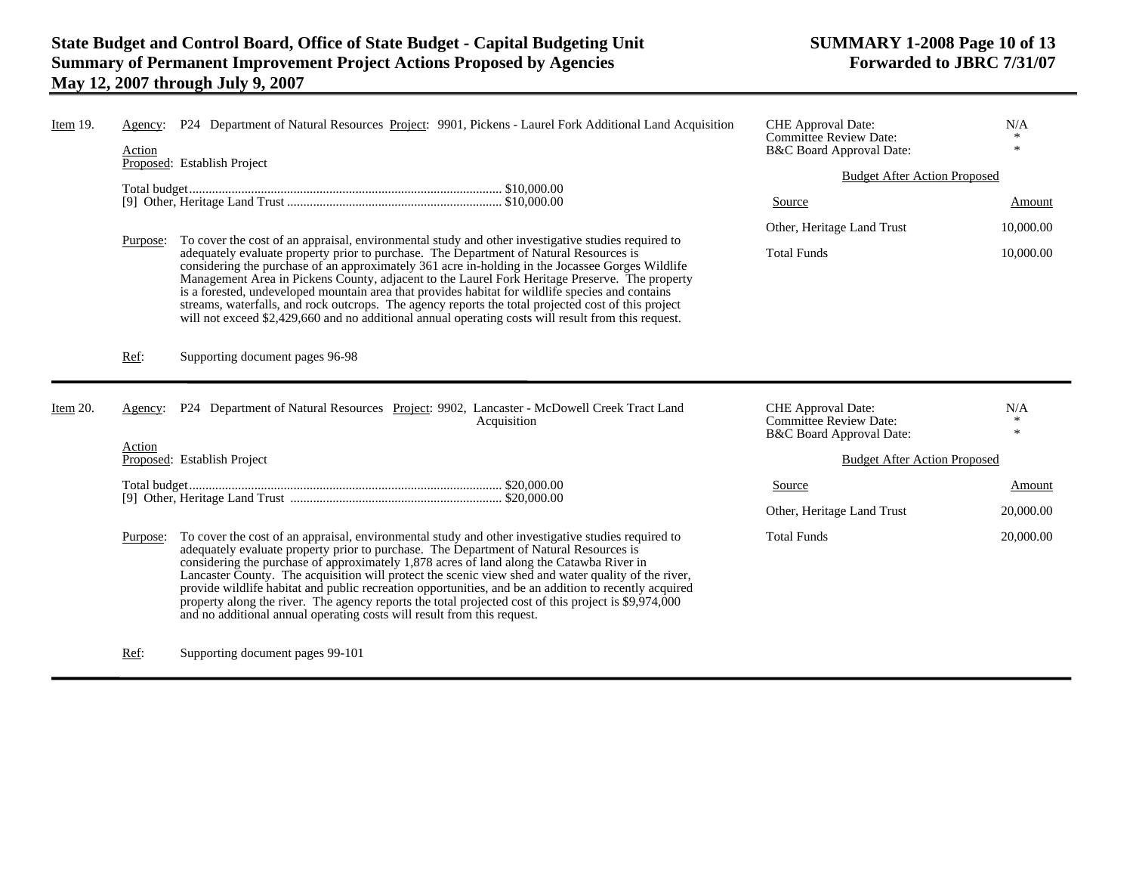| Item $19$ . | Agency:<br>Action | P24 Department of Natural Resources Project: 9901, Pickens - Laurel Fork Additional Land Acquisition                                                                                                                                                                                                                                                                                                                                                                                                                                                                                                           | <b>CHE</b> Approval Date:<br><b>Committee Review Date:</b><br>B&C Board Approval Date: | N/A           |  |
|-------------|-------------------|----------------------------------------------------------------------------------------------------------------------------------------------------------------------------------------------------------------------------------------------------------------------------------------------------------------------------------------------------------------------------------------------------------------------------------------------------------------------------------------------------------------------------------------------------------------------------------------------------------------|----------------------------------------------------------------------------------------|---------------|--|
|             |                   | Proposed: Establish Project                                                                                                                                                                                                                                                                                                                                                                                                                                                                                                                                                                                    | <b>Budget After Action Proposed</b>                                                    |               |  |
|             |                   |                                                                                                                                                                                                                                                                                                                                                                                                                                                                                                                                                                                                                | Source                                                                                 | Amount        |  |
|             | Purpose:          | To cover the cost of an appraisal, environmental study and other investigative studies required to                                                                                                                                                                                                                                                                                                                                                                                                                                                                                                             | Other, Heritage Land Trust                                                             | 10,000.00     |  |
|             |                   | adequately evaluate property prior to purchase. The Department of Natural Resources is<br>considering the purchase of an approximately 361 acre in-holding in the Jocassee Gorges Wildlife<br>Management Area in Pickens County, adjacent to the Laurel Fork Heritage Preserve. The property<br>is a forested, undeveloped mountain area that provides habitat for wildlife species and contains<br>streams, waterfalls, and rock outcrops. The agency reports the total projected cost of this project<br>will not exceed \$2,429,660 and no additional annual operating costs will result from this request. | <b>Total Funds</b>                                                                     | 10,000.00     |  |
|             | Ref:              | Supporting document pages 96-98                                                                                                                                                                                                                                                                                                                                                                                                                                                                                                                                                                                |                                                                                        |               |  |
| Item 20.    | Agency:           | P24 Department of Natural Resources Project: 9902, Lancaster - McDowell Creek Tract Land<br>Acquisition                                                                                                                                                                                                                                                                                                                                                                                                                                                                                                        | CHE Approval Date:<br>Committee Review Date:<br>B&C Board Approval Date:               | N/A<br>$\ast$ |  |
|             | Action            | Proposed: Establish Project                                                                                                                                                                                                                                                                                                                                                                                                                                                                                                                                                                                    | <b>Budget After Action Proposed</b>                                                    |               |  |
|             |                   |                                                                                                                                                                                                                                                                                                                                                                                                                                                                                                                                                                                                                | Source                                                                                 | Amount        |  |
|             |                   |                                                                                                                                                                                                                                                                                                                                                                                                                                                                                                                                                                                                                |                                                                                        |               |  |
|             |                   |                                                                                                                                                                                                                                                                                                                                                                                                                                                                                                                                                                                                                | Other, Heritage Land Trust                                                             | 20,000.00     |  |

Ref: Supporting document pages 99-101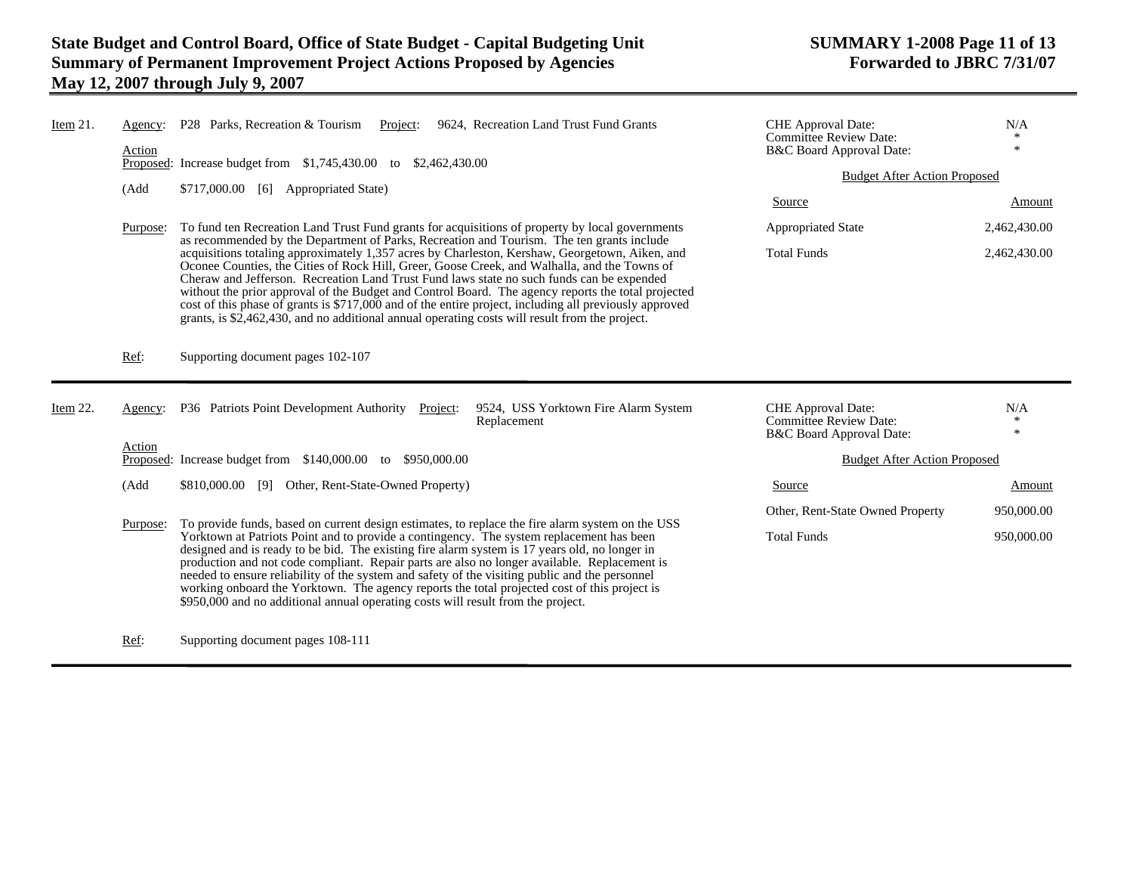| Item 21. | Agency:<br>Action | P28 Parks, Recreation & Tourism<br>9624, Recreation Land Trust Fund Grants<br>Project:<br>Proposed: Increase budget from \$1,745,430.00 to \$2,462,430.00                                                                                                                                                                                                                                                                                                                                                                                                                                                                                                                                                  |                                                     | CHE Approval Date:<br><b>Committee Review Date:</b><br>B&C Board Approval Date:        | N/A<br>$\ast$ |
|----------|-------------------|------------------------------------------------------------------------------------------------------------------------------------------------------------------------------------------------------------------------------------------------------------------------------------------------------------------------------------------------------------------------------------------------------------------------------------------------------------------------------------------------------------------------------------------------------------------------------------------------------------------------------------------------------------------------------------------------------------|-----------------------------------------------------|----------------------------------------------------------------------------------------|---------------|
|          |                   |                                                                                                                                                                                                                                                                                                                                                                                                                                                                                                                                                                                                                                                                                                            |                                                     | <b>Budget After Action Proposed</b>                                                    |               |
|          | (Add              | \$717,000.00 [6] Appropriated State)                                                                                                                                                                                                                                                                                                                                                                                                                                                                                                                                                                                                                                                                       | Source                                              | Amount                                                                                 |               |
|          | Purpose:          | To fund ten Recreation Land Trust Fund grants for acquisitions of property by local governments                                                                                                                                                                                                                                                                                                                                                                                                                                                                                                                                                                                                            |                                                     | <b>Appropriated State</b>                                                              | 2,462,430.00  |
|          |                   | as recommended by the Department of Parks, Recreation and Tourism. The ten grants include<br>acquisitions totaling approximately 1,357 acres by Charleston, Kershaw, Georgetown, Aiken, and<br>Oconee Counties, the Cities of Rock Hill, Greer, Goose Creek, and Walhalla, and the Towns of<br>Cheraw and Jefferson. Recreation Land Trust Fund laws state no such funds can be expended<br>without the prior approval of the Budget and Control Board. The agency reports the total projected<br>cost of this phase of grants is \$717,000 and of the entire project, including all previously approved<br>grants, is \$2,462,430, and no additional annual operating costs will result from the project. |                                                     | <b>Total Funds</b>                                                                     | 2,462,430.00  |
|          | Ref:              | Supporting document pages 102-107                                                                                                                                                                                                                                                                                                                                                                                                                                                                                                                                                                                                                                                                          |                                                     |                                                                                        |               |
| Item 22. | Agency:           | P36 Patriots Point Development Authority<br>Project:                                                                                                                                                                                                                                                                                                                                                                                                                                                                                                                                                                                                                                                       | 9524, USS Yorktown Fire Alarm System<br>Replacement | <b>CHE</b> Approval Date:<br><b>Committee Review Date:</b><br>B&C Board Approval Date: | N/A<br>$\ast$ |
|          | Action            | Proposed: Increase budget from \$140,000.00 to \$950,000.00                                                                                                                                                                                                                                                                                                                                                                                                                                                                                                                                                                                                                                                |                                                     | <b>Budget After Action Proposed</b>                                                    |               |
|          | (Add              | \$810,000.00 [9] Other, Rent-State-Owned Property)                                                                                                                                                                                                                                                                                                                                                                                                                                                                                                                                                                                                                                                         |                                                     | Source                                                                                 | Amount        |
|          |                   |                                                                                                                                                                                                                                                                                                                                                                                                                                                                                                                                                                                                                                                                                                            |                                                     | Other, Rent-State Owned Property                                                       | 950,000.00    |
|          | Purpose:          | To provide funds, based on current design estimates, to replace the fire alarm system on the USS<br>Yorktown at Patriots Point and to provide a contingency. The system replacement has been<br>designed and is ready to be bid. The existing fire alarm system is 17 years old, no longer in<br>production and not code compliant. Repair parts are also no longer available. Replacement is<br>needed to ensure reliability of the system and safety of the visiting public and the personnel<br>working onboard the Yorktown. The agency reports the total projected cost of this project is<br>\$950,000 and no additional annual operating costs will result from the project.                        |                                                     | <b>Total Funds</b>                                                                     | 950,000.00    |

Ref: Supporting document pages 108-111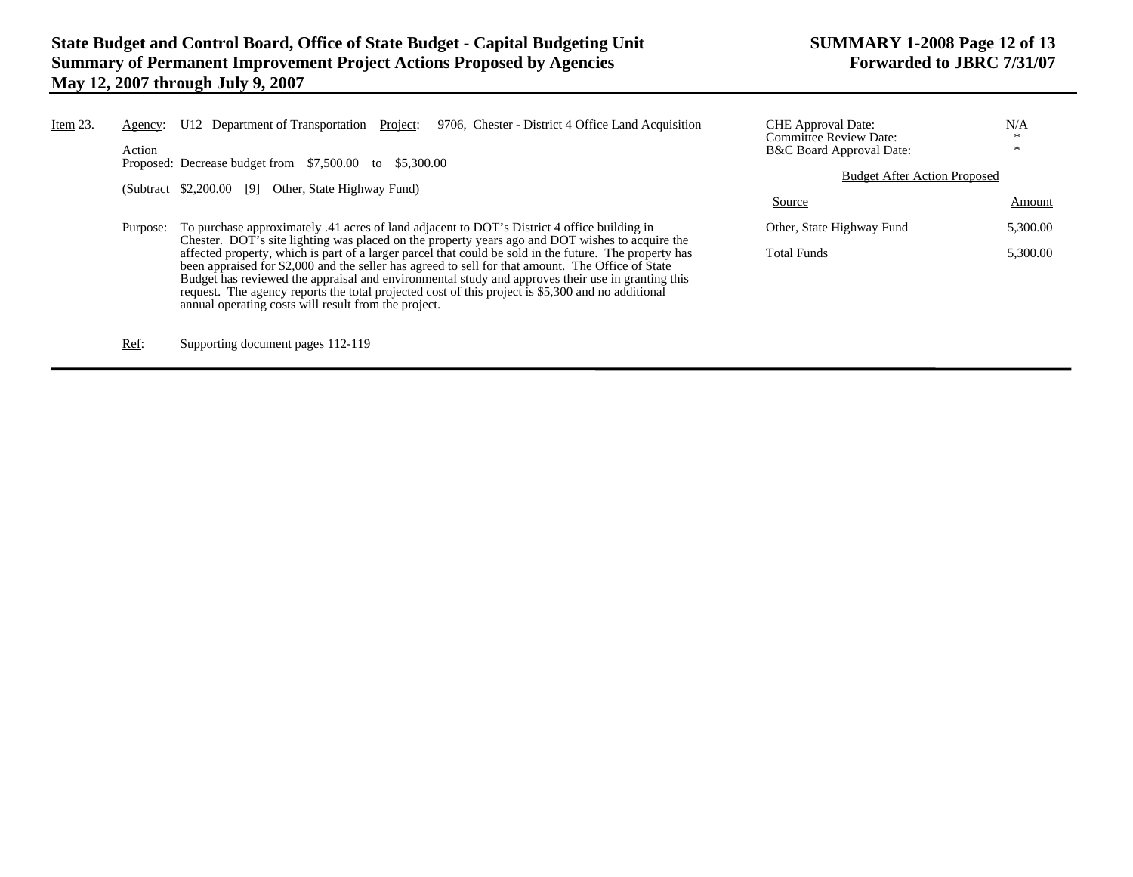| Item 23. | Agency:<br>Action | Project:<br>U12 Department of Transportation<br>9706, Chester - District 4 Office Land Acquisition<br>Proposed: Decrease budget from \$7,500.00 to \$5,300.00<br>$(Subtract \ $2,200.00$<br>[9]<br>Other, State Highway Fund)                                                                                                                                                                                         | <b>CHE</b> Approval Date:<br>Committee Review Date:<br>B&C Board Approval Date:<br><b>Budget After Action Proposed</b> | N/A<br>$\ast$<br>米 |
|----------|-------------------|-----------------------------------------------------------------------------------------------------------------------------------------------------------------------------------------------------------------------------------------------------------------------------------------------------------------------------------------------------------------------------------------------------------------------|------------------------------------------------------------------------------------------------------------------------|--------------------|
|          |                   |                                                                                                                                                                                                                                                                                                                                                                                                                       | Source                                                                                                                 | Amount             |
|          | Purpose:          | To purchase approximately .41 acres of land adjacent to DOT's District 4 office building in<br>Chester. DOT's site lighting was placed on the property years ago and DOT wishes to acquire the                                                                                                                                                                                                                        | Other, State Highway Fund                                                                                              | 5,300.00           |
|          |                   | affected property, which is part of a larger parcel that could be sold in the future. The property has<br>been appraised for \$2,000 and the seller has agreed to sell for that amount. The Office of State<br>Budget has reviewed the appraisal and environmental study and approves their use in granting this<br>request. The agency reports the total projected cost of this project is \$5,300 and no additional | <b>Total Funds</b>                                                                                                     | 5,300.00           |

Ref: Supporting document pages 112-119

annual operating costs will result from the project.